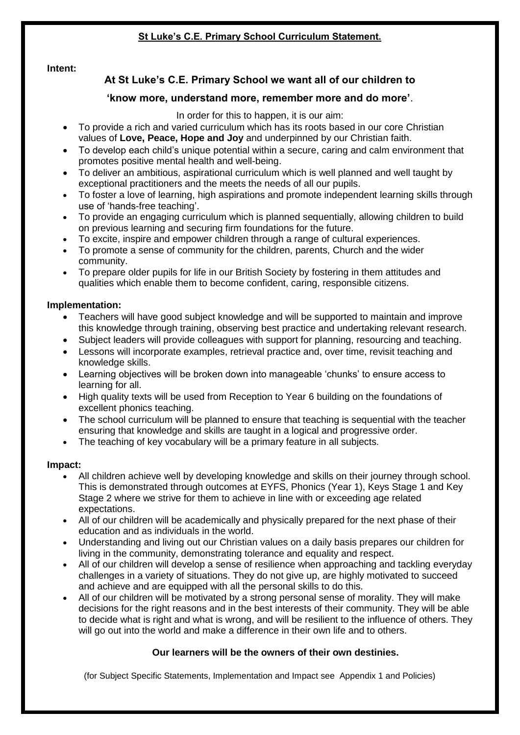## **St Luke's C.E. Primary School Curriculum Statement.**

#### **Intent:**

## **At St Luke's C.E. Primary School we want all of our children to**

### **'know more, understand more, remember more and do more'**.

In order for this to happen, it is our aim:

- To provide a rich and varied curriculum which has its roots based in our core Christian values of **Love, Peace, Hope and Joy** and underpinned by our Christian faith.
- To develop each child's unique potential within a secure, caring and calm environment that promotes positive mental health and well-being.
- To deliver an ambitious, aspirational curriculum which is well planned and well taught by exceptional practitioners and the meets the needs of all our pupils.
- To foster a love of learning, high aspirations and promote independent learning skills through use of 'hands-free teaching'.
- To provide an engaging curriculum which is planned sequentially, allowing children to build on previous learning and securing firm foundations for the future.
- To excite, inspire and empower children through a range of cultural experiences.
- To promote a sense of community for the children, parents, Church and the wider community.
- To prepare older pupils for life in our British Society by fostering in them attitudes and qualities which enable them to become confident, caring, responsible citizens.

#### **Implementation:**

- Teachers will have good subject knowledge and will be supported to maintain and improve this knowledge through training, observing best practice and undertaking relevant research.
- Subject leaders will provide colleagues with support for planning, resourcing and teaching.
- Lessons will incorporate examples, retrieval practice and, over time, revisit teaching and knowledge skills.
- Learning objectives will be broken down into manageable 'chunks' to ensure access to learning for all.
- High quality texts will be used from Reception to Year 6 building on the foundations of excellent phonics teaching.
- The school curriculum will be planned to ensure that teaching is sequential with the teacher ensuring that knowledge and skills are taught in a logical and progressive order.
- The teaching of key vocabulary will be a primary feature in all subjects.

#### **Impact:**

- All children achieve well by developing knowledge and skills on their journey through school. This is demonstrated through outcomes at EYFS, Phonics (Year 1), Keys Stage 1 and Key Stage 2 where we strive for them to achieve in line with or exceeding age related expectations.
- All of our children will be academically and physically prepared for the next phase of their education and as individuals in the world.
- Understanding and living out our Christian values on a daily basis prepares our children for living in the community, demonstrating tolerance and equality and respect.
- All of our children will develop a sense of resilience when approaching and tackling everyday challenges in a variety of situations. They do not give up, are highly motivated to succeed and achieve and are equipped with all the personal skills to do this.
- All of our children will be motivated by a strong personal sense of morality. They will make decisions for the right reasons and in the best interests of their community. They will be able to decide what is right and what is wrong, and will be resilient to the influence of others. They will go out into the world and make a difference in their own life and to others.

#### **Our learners will be the owners of their own destinies.**

(for Subject Specific Statements, Implementation and Impact see Appendix 1 and Policies)